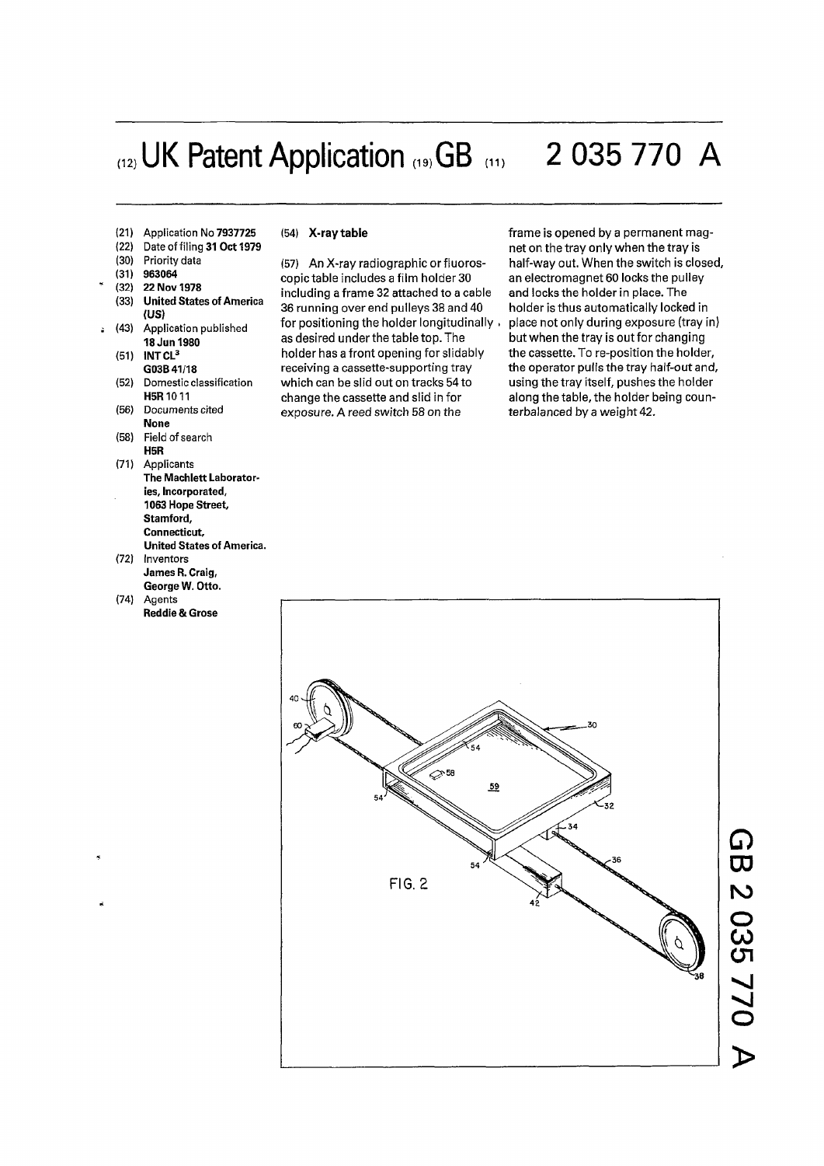# (12) UK Patent Application (19) GB (11) 2 035 770 A

- (21) Application No 7937725
- (22) Date of filing 31 Oct 1979
- (30) Priority data
- 

 $\ddot{a}$ 

- (31) 963064<br>(32) 22 Nov (32) 22 Nov 1978
- (33) United States of America (US)
- (43) Application published 18 Jun 1980
- (51) INT CL<sup>3</sup>
- G03B 41/18 (52) Domestic classification H<sub>5</sub>R<sub>10</sub>11
- (56) Documents cited None
- (58) Field of search H5R
- (71) Applicants The Machlett Laborator-
- ies, Incorporated, 1063 Hope Street, Stamford, Connecticut, United States of America.
- (72) Inventors James R. Craig,
- George W. Otto. (74) Agents Reddie& Grose

### (54) **X-ray table**

(57) An X-ray radiographic or fluoroscopic table includes a film holder 30 including a frame 32 attached to a cable 36 running over end pulleys 38 and 40 for positioning the holder longitudinally as desired under the table top. The holder has a front opening for slidably receiving a cassette-supporting tray which can be slid out on tracks 54 to change the cassette and slid in for exposure. A reed switch 58 on the

frame is opened by a permanent magnet on the tray only when the tray is half-way out. When the switch is closed, an electromagnet 60 locks the pulley and locks the holder in place. The holder is thus automatically locked in place not only during exposure (tray in) but when the tray is out for changing the cassette. To re-position the holder, the operator pulls the tray half-out and, using the tray itself, pushes the holder along the table, the holder being counterbalanced by a weight 42.

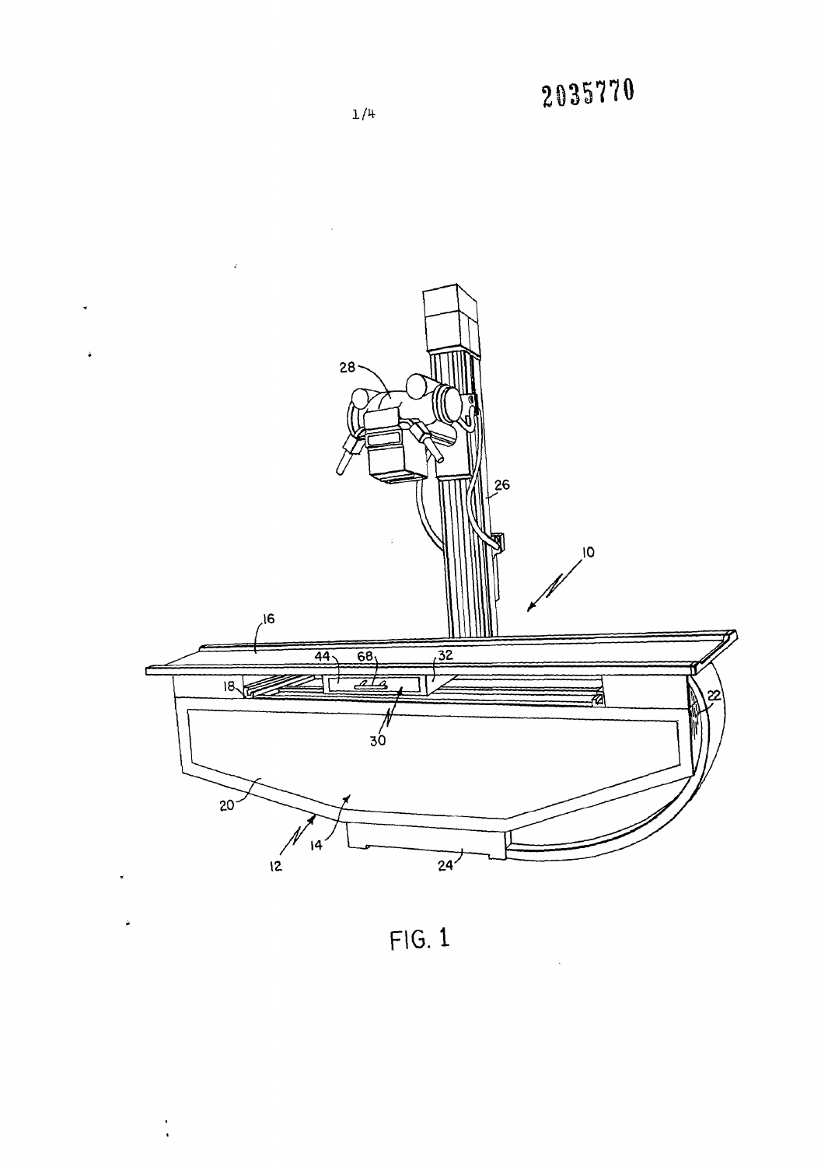

 $FIG.1$ 

 $\frac{1}{4}$ 

 $1/4$ 

2035770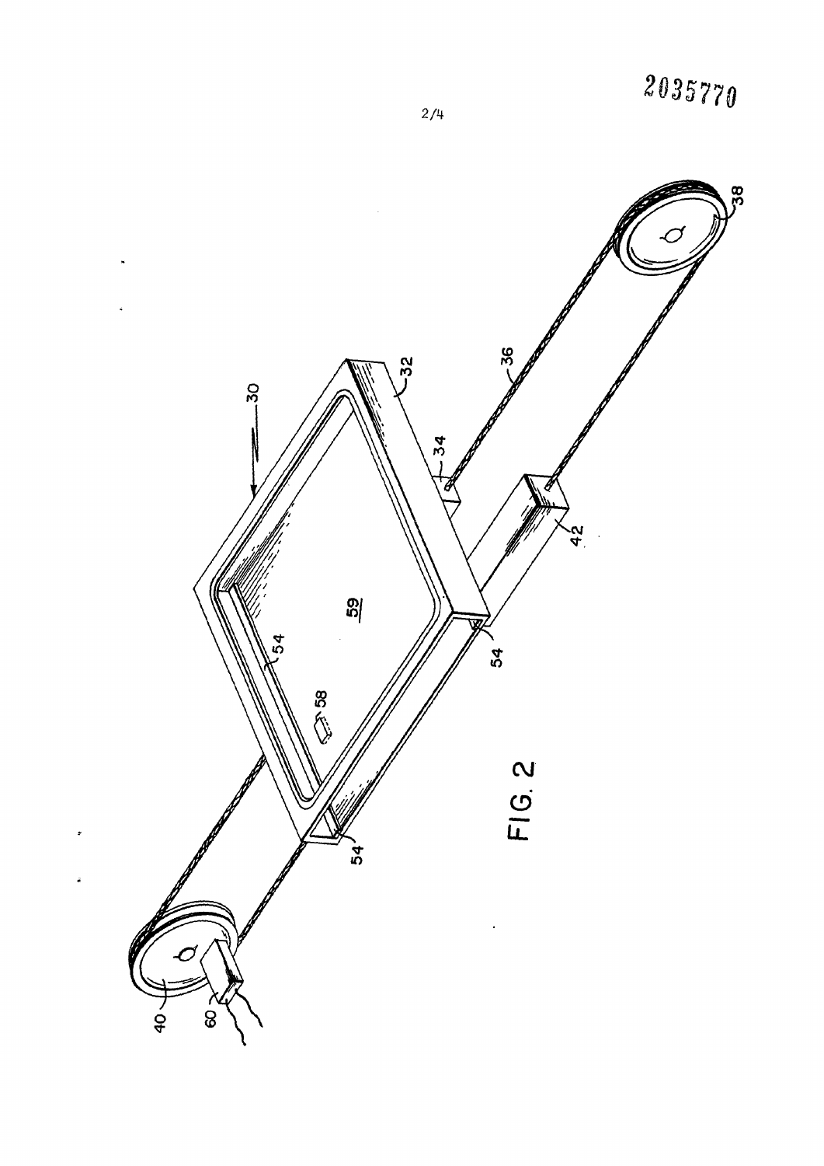

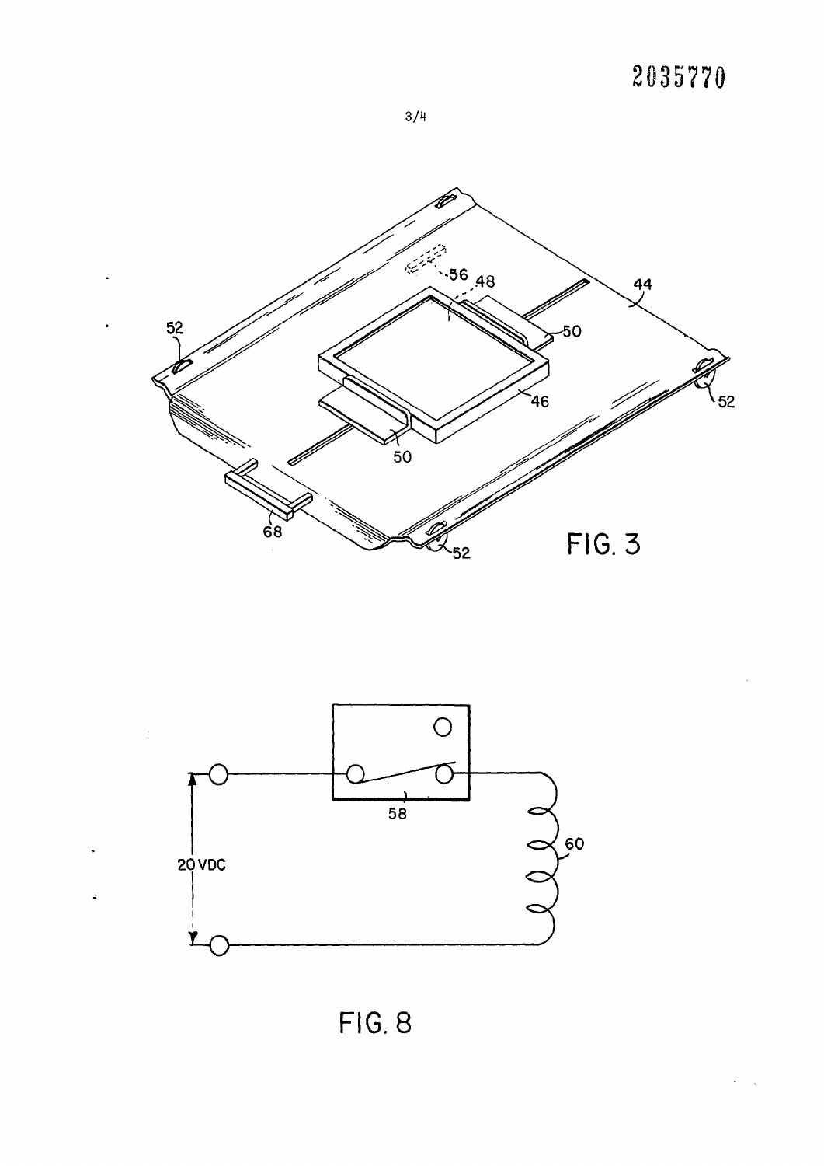## **2035770**







FIG. 8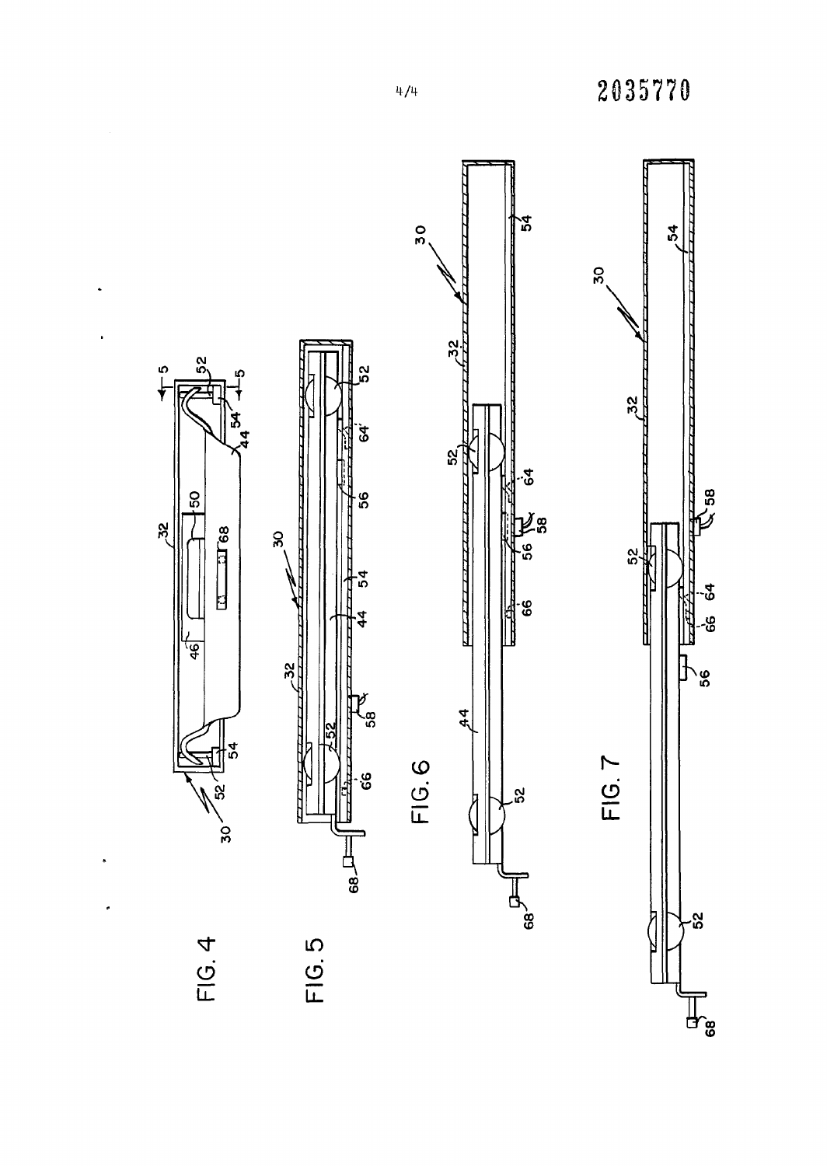

 $\bullet$ 

 $\bullet$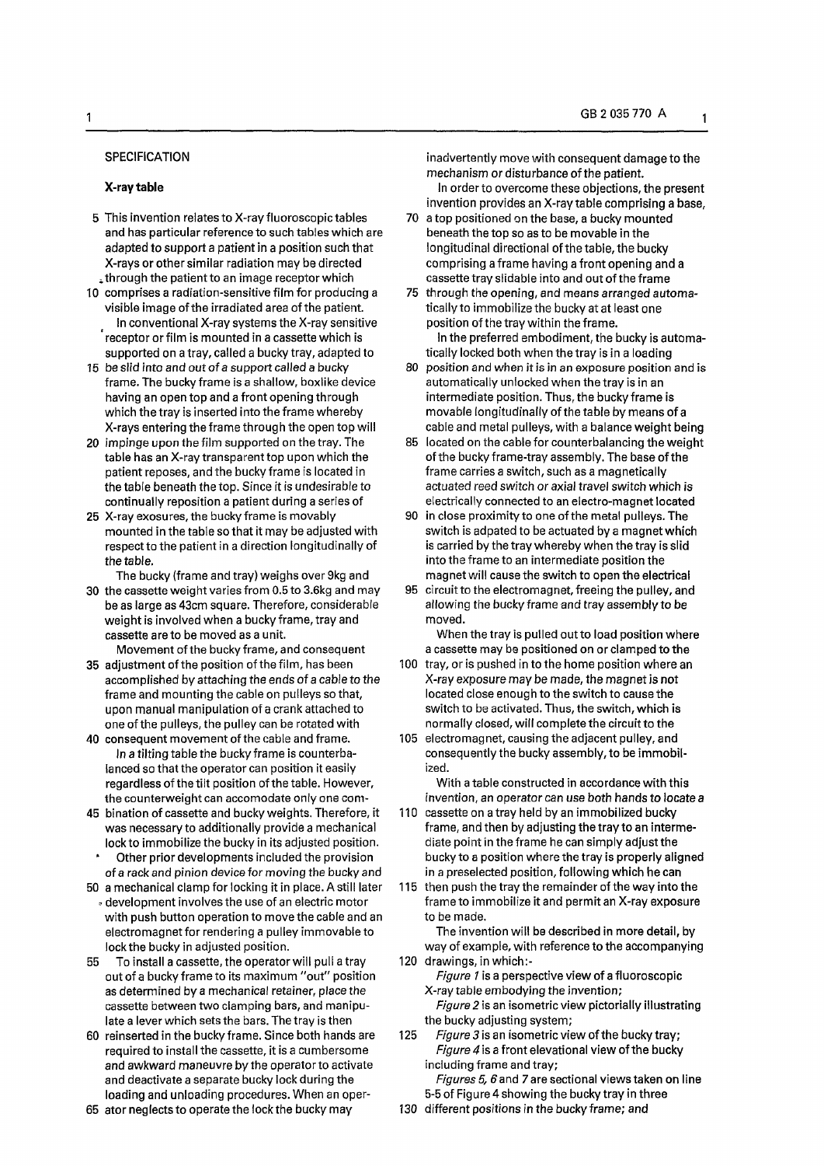## **SPECIFICATION**

#### **X-ray table**

- 5 This invention relates to X-ray fluoroscopic tables and has particular reference to such tables which are adapted to support a patient in a position such that X-rays or other similar radiation may be directed <sup>#</sup> through the patient to an image receptor which
- 10 comprises a radiation-sensitive film for producing a visible image of the irradiated area of the patient. In conventional X-ray systems the X-ray sensitive receptor or film is mounted in a cassette which is supported on a tray, called a bucky tray, adapted to
- 15 be slid into and out of a support called a bucky frame. The bucky frame is a shallow, boxlike device having an open top and a front opening through which the tray is inserted into the frame whereby X-rays entering the frame through the open top will
- 20 impinge upon the film supported on the tray. The table has an X-ray transparent top upon which the patient reposes, and the bucky frame is located in the table beneath the top. Since it is undesirable to continually reposition a patient during a series of
- 25 X-ray exosures, the bucky frame is movably mounted in the table so that it may be adjusted with respect to the patient in a direction longitudinally of the table.

The bucky (frame and tray) weighs over 9kg and

30 the cassette weight varies from 0.5 to 3.6kg and may be as large as 43cm square. Therefore, considerable weight is involved when a bucky frame, tray and cassette are to be moved as a unit.

Movement of the bucky frame, and consequent

- 35 adjustment of the position of the film, has been accomplished by attaching the ends of a cable to the frame and mounting the cable on pulleys so that, upon manual manipulation of a crank attached to one ofthe pulleys, the pulley can be rotated with
- 40 consequent movement of the cable and frame. In a tilting table the bucky frame is counterbalanced so that the operator can position it easily regardless of the tilt position of the table. However, the counterweight can accomodate only one com-
- 45 bination of cassette and bucky weights. Therefore, it was necessary to additionally provide a mechanical lock to immobilize the bucky in its adjusted position.
- Other prior developments included the provision of a rack and pinion device for moving the bucky and
- 50 a mechanical clamp for locking it in place. A still later \* development involves the use ofan electric motor with push button operation to move the cable and an electromagnet for rendering a pulley immovable to lock the bucky in adjusted position.
- 55 To install a cassette, the operator will pull a tray out of a bucky frame to its maximum "out" position as determined by a mechanical retainer, place the cassette between two clamping bars, and manipulate a lever which sets the bars. The tray is then
- 60 reinserted in the bucky frame. Since both hands are required to install the cassette, it is a cumbersome and awkward maneuvre by the operator to activate and deactivate a separate bucky lock during the loading and unloading procedures. When an oper-
- 65 ator neglects to operate the lock the bucky may

inadvertently move with consequent damage to the mechanism or disturbance of the patient.

- In order to overcome these objections, the present invention provides an X-ray table comprising a base,
- 70 a top positioned on the base, a bucky mounted beneath the top so as to be movable in the longitudinal directional of the table, the bucky comprising a frame having a front opening and a cassette tray slidable into and out of the frame
- 75 through the opening, and means arranged automatically to immobilize the bucky at at least one position of the tray within the frame.

In the preferred embodiment, the bucky is automatically locked both when the tray is in a loading

- 80 position and when it is in an exposure position and is automatically unlocked when the tray is in an intermediate position. Thus, the bucky frame is movable longitudinally of the table by means of a cable and metal pulleys, with a balance weight being
- 85 located on the cable for counterbalancing the weight of the bucky frame-tray assembly. The base of the frame carries a switch, such as a magnetically actuated reed switch or axial travel switch which is electrically connected to an electro-magnet located
- 90 in close proximity to one ofthe metal pulleys. The switch is adpated to be actuated by a magnet which is carried by the tray whereby when the tray is slid into the frame to an intermediate position the magnet will cause the switch to open the electrical
- 95 circuit to the electromagnet, freeing the pulley, and allowing the bucky frame and tray assembly to be moved.

When the tray is pulled out to load position where a cassette may be positioned on or clamped to the

- 100 tray, or is pushed in to the home position where an X-ray exposure may be made, the magnet is not located close enough to the switch to cause the switch to be activated. Thus, the switch, which is normally closed, will complete the circuit to the
- 105 electromagnet, causing the adjacent pulley, and consequently the bucky assembly, to be immobilized.

With a table constructed in accordance with this invention, an operator can *use* both hands to locate a

- 110 cassette on a tray held by an immobilized bucky frame, and then by adjusting the tray to an intermediate point in the frame he can simply adjust the bucky to a position where the tray is properly aligned in a preselected position, following which he can
- 115 then push the tray the remainder of the way into the frame to immobilize it and permit an X-ray exposure to be made.

The invention will be described in more detail, by way of example, with reference to the accompanying 120 drawings, inwhich:-

*Figure 1* is a perspective view of a fluoroscopic X-ray table embodying the invention; *Figure 2* is an isometric view pictorially illustrating

- the bucky adjusting system; 125 Figure 3 is an isometric view of the bucky tray;
	- *Figure 4* is a front elevational view of the bucky including frame and tray;

Figures 5, 6 and 7 are sectional views taken on line 5-5 of Figure 4 showing the bucky tray in three

130 different positions in the bucky frame; and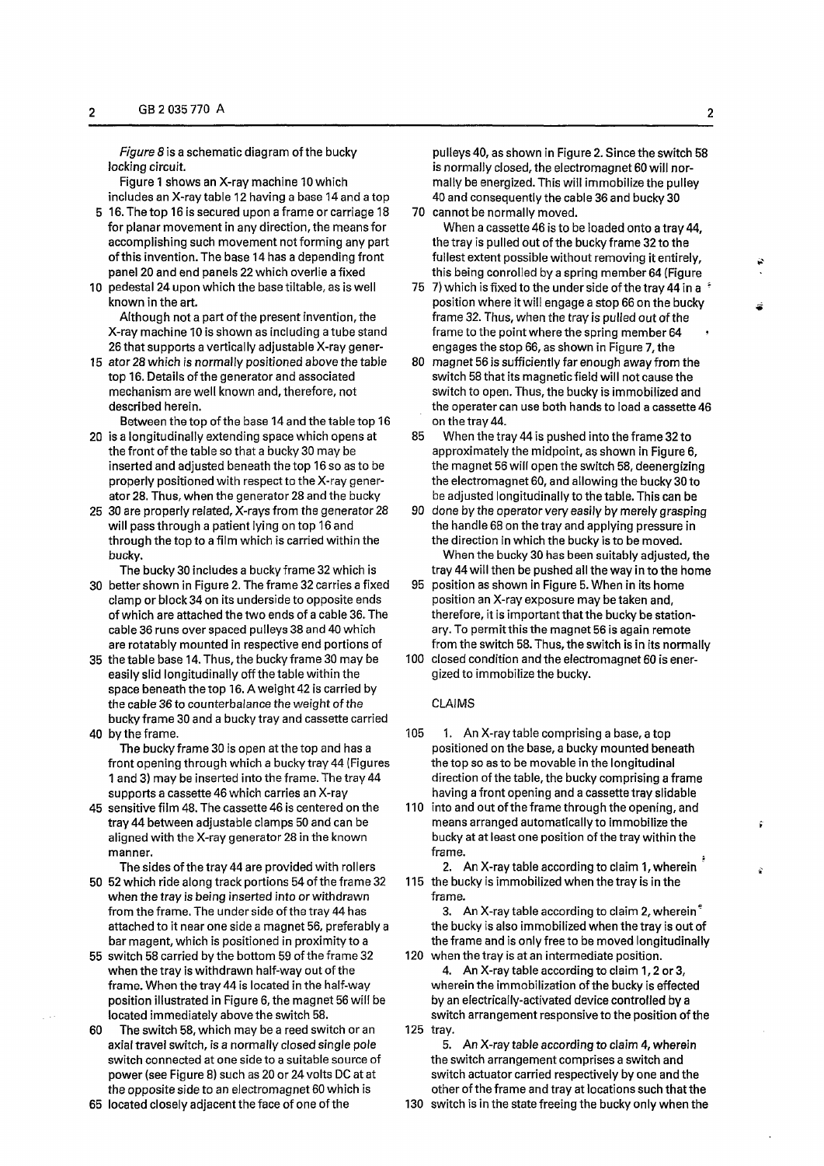*Figure 8* is a schematic diagram of the bucky locking circuit

Figure 1 shows an X-ray machine 10 which includes an X-ray table 12 having a base 14 and a top

- 5 16. The top 16 is secured upon a frame or carriage 18 for planar movement in any direction, the means for accomplishing such movement not forming any part of this invention. The base 14 has a depending front panel 20 and end panels 22 which overlie a fixed
- 10 pedestal 24 upon which the base tiltable, as is well known in the art.

Although not a part of the present invention, the X-ray machine 10 is shown as including a tube stand 26 that supports a vertically adjustable X-ray gener-

15 ator 28 which is normally positioned above the table top 16. Details of the generator and associated mechanism are well known and, therefore, not described herein.

Between the top of the base 14 and the table top 16

- 20 is a longitudinally extending space which opens at the front of the table so that a bucky 30 may be inserted and adjusted beneath the top 16 so as to be properly positioned with respect to the X-ray generator 28. Thus, when the generator 28 and the bucky
- 25 30 are properly related, X-rays from the generator 28 will pass through a patient lying on top 16 and through the top to a film which is carried within the bucky.

The bucky 30 includes a bucky frame 32 which is 30 better shown in Figure 2. The frame 32 carries a fixed

- clamp or block 34 on its underside to opposite ends of which are attached the two ends of a cable 36. The cable 36 runs over spaced pulleys 38 and 40 which are rotatably mounted in respective end portions of
- 35 the table base 14. Thus, the bucky frame 30 may be easily slid longitudinally off the table within the space beneath the top 16. A weight 42 is carried by the cable 36 to counterbalance the weight of the bucky frame 30 and a bucky tray and cassette carried 40 by the frame.
- The bucky frame 30 is open at the top and has a front opening through which a bucky tray 44 (Figures 1 and 3) may be inserted into the frame. The tray 44 supports a cassette 46 which carries an X-ray
- 45 sensitive film 48. The cassette 46 is centered on the tray 44 between adjustable clamps 50 and can be aligned with the X-ray generator 28 in the known manner.
- The sides of the tray 44 are provided with rollers 50 52 which ride along track portions 54 of the frame 32 when the tray is being inserted into or withdrawn from the frame. The under side of the tray 44 has attached to it near one side a magnet 56, preferably a bar magent, which is positioned in proximity to a
- 55 switch 58 carried by the bottom 59 of the frame 32 when the tray is withdrawn half-way out of the frame. When the tray 44 is located in the half-way position illustrated in Figure 6, the magnet 56 will be located immediately above the switch 58.
- 60 The switch 58, which may be a reed switch or an axial travel switch, is a normally closed single pole switch connected at one side to a suitable source of power (see Figure 8) such as 20 or 24 volts DC at at the opposite side to an electromagnet 60 which is
- 65 located closely adjacent the face of one of the

pulleys 40, as shown in Figure 2. Since the switch 58 is normally closed, the electromagnet 60 will normally be energized. This will immobilize the pulley 40 and consequently the cable 36 and bucky 30

- 70 cannot be normally moved. When a cassette 46 is to be loaded onto a tray 44, the tray is pulled out of the bucky frame 32 to the fullest extent possible without removing it entirely, this being conrolled by a spring member 64 (Figure
- 75 7) which is fixed to the under side of the tray 44 in a  $\pm$ position where it will engage a stop 66 on the bucky frame 32. Thus, when the tray is pulled out of the frame to the point where the spring member 64 engages the stop 66, as shown in Figure 7, the
- 80 magnet 56 is sufficiently far enough away from the switch 58 that its magnetic field will not cause the switch to open. Thus, the bucky is immobilized and the operater can use both hands to load a cassette 46 on the tray 44.
- 85 When the tray 44 is pushed into the frame 32 to approximately the midpoint, as shown in Figure 6, the magnet 56 will open the switch 58, deenergizing the electromagnet 60, and allowing the bucky 30 to be adjusted longitudinally to the table. This can be
- 90 done by the operator very easily by merely grasping the handle 68 on the tray and applying pressure in the direction in which the bucky is to be moved.

When the bucky 30 has been suitably adjusted, the tray 44 will then be pushed all the way in to the home

- 95 position as shown in Figure 5. When in its home position an X-ray exposure may be taken and, therefore, it is important that the bucky be stationary. To permit this the magnet 56 is again remote from the switch 58. Thus, the switch is in its normally
- 100 closed condition and the electromagnet 60 is energized to immobilize the bucky.

## CLAIMS

- 105 1. An X-ray table comprising a base, a top positioned on the base, a bucky mounted beneath the top so as to be movable in the longitudinal direction of the table, the bucky comprising a frame having a front opening and a cassette tray slidable
- 110 into and out of the frame through the opening, and means arranged automatically to immobilize the bucky at at least one position of the tray within the frame.
- 2. An X-ray table according to claim 1, wherein 115 the bucky is immobilized when the tray is in the frame.
- 3. An X-ray table according to claim 2, wherein $<sup>5</sup>$ </sup> the bucky is also immobilized when the tray is out of the frame and is only free to be moved longitudinally 120 when the tray is at an intermediate position.
- 4. An X-ray table according to claim 1,2 or 3, wherein the immobilization of the bucky is effected by an electrically-activated device controlled by a switch arrangement responsive to the position of the 125 tray.

5. An X-ray table according to claim 4, wherein the switch arrangement comprises a switch and switch actuator carried respectively by one and the other of the frame and tray at locations such that the

130 switch is in the state freeing the bucky only when the

ŷ

Ş